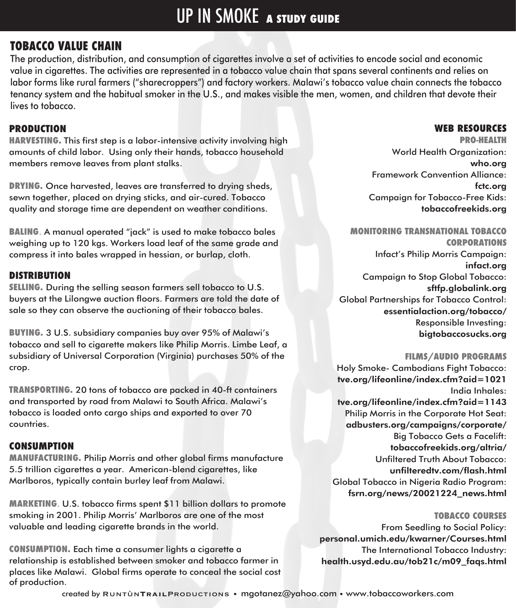# UP IN SMOKE **A STUDY GUIDE**

## **TOBACCO VALUE CHAIN**

The production, distribution, and consumption of cigarettes involve a set of activities to encode social and economic value in cigarettes. The activities are represented in a tobacco value chain that spans several continents and relies on labor forms like rural farmers ("sharecroppers") and factory workers. Malawi's tobacco value chain connects the tobacco tenancy system and the habitual smoker in the U.S., and makes visible the men, women, and children that devote their lives to tobacco.

#### **PRODUCTION**

**HARVESTING.** This first step is a labor-intensive activity involving high amounts of child labor. Using only their hands, tobacco household members remove leaves from plant stalks.

**DRYING.** Once harvested, leaves are transferred to drying sheds, sewn together, placed on drying sticks, and air-cured. Tobacco quality and storage time are dependent on weather conditions.

**BALING**. A manual operated "jack" is used to make tobacco bales weighing up to 120 kgs. Workers load leaf of the same grade and compress it into bales wrapped in hessian, or burlap, cloth.

#### **DISTRIBUTION**

**SELLING.** During the selling season farmers sell tobacco to U.S. buyers at the Lilongwe auction floors. Farmers are told the date of sale so they can observe the auctioning of their tobacco bales.

**BUYING.** 3 U.S. subsidiary companies buy over 95% of Malawi's tobacco and sell to cigarette makers like Philip Morris. Limbe Leaf, a subsidiary of Universal Corporation (Virginia) purchases 50% of the crop.

**TRANSPORTING.** 20 tons of tobacco are packed in 40-ft containers and transported by road from Malawi to South Africa. Malawi's tobacco is loaded onto cargo ships and exported to over 70 countries.

#### **CONSUMPTION**

**MANUFACTURING.** Philip Morris and other global firms manufacture 5.5 trillion cigarettes a year. American-blend cigarettes, like Marlboros, typically contain burley leaf from Malawi.

**MARKETING**. U.S. tobacco firms spent \$11 billion dollars to promote smoking in 2001. Philip Morris' Marlboros are one of the most valuable and leading cigarette brands in the world.

**CONSUMPTION.** Each time a consumer lights a cigarette a relationship is established between smoker and tobacco farmer in places like Malawi. Global firms operate to conceal the social cost of production.

#### **WEB RESOURCES**

**PRO-HEALTH** World Health Organization: who.org Framework Convention Alliance: fctc.org Campaign for Tobacco-Free Kids: tobaccofreekids.org

**MONITORING TRANSNATIONAL TOBACCO CORPORATIONS** Infact's Philip Morris Campaign: infact.org Campaign to Stop Global Tobacco: sftfp.globalink.org Global Partnerships for Tobacco Control: essentialaction.org/tobacco/ Responsible Investing: bigtobaccosucks.org

#### **FILMS/AUDIO PROGRAMS**

Holy Smoke- Cambodians Fight Tobacco: tve.org/lifeonline/index.cfm?aid=1021 India Inhales: tve.org/lifeonline/index.cfm?aid=1143 Philip Morris in the Corporate Hot Seat: adbusters.org/campaigns/corporate/ Big Tobacco Gets a Facelift: tobaccofreekids.org/altria/ Unfiltered Truth About Tobacco: unfilteredtv.com/flash.html Global Tobacco in Nigeria Radio Program: fsrn.org/news/20021224\_news.html

#### **TOBACCO COURSES**

From Seedling to Social Policy: personal.umich.edu/kwarner/Courses.html The International Tobacco Industry: health.usyd.edu.au/tob21c/m09\_faqs.html

created by Runtùn**Trail**Productions • mgotanez@yahoo.com • www.tobaccoworkers.com